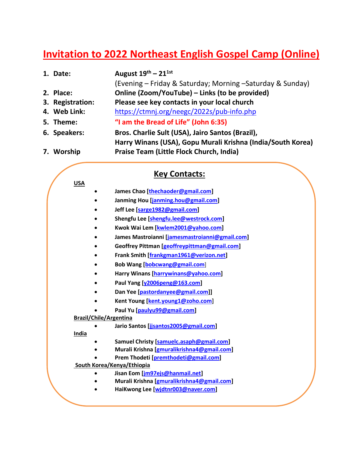## **Invitation to 2022 Northeast English Gospel Camp (Online)**

| 1. Date:         | August $19^{th}$ – $21^{1st}$                               |
|------------------|-------------------------------------------------------------|
|                  | (Evening – Friday & Saturday; Morning – Saturday & Sunday)  |
| 2. Place:        | Online (Zoom/YouTube) - Links (to be provided)              |
| 3. Registration: | Please see key contacts in your local church                |
| 4. Web Link:     | https://ctmnj.org/neegc/2022s/pub-info.php                  |
| 5. Theme:        | "I am the Bread of Life" (John 6:35)                        |
| 6. Speakers:     | Bros. Charlie Sult (USA), Jairo Santos (Brazil),            |
|                  | Harry Winans (USA), Gopu Murali Krishna (India/South Korea) |
| 7. Worship       | Praise Team (Little Flock Church, India)                    |

## **Key Contacts:**

| <b>USA</b>                    |                                                |  |
|-------------------------------|------------------------------------------------|--|
|                               | James Chao [thechaoder@gmail.com]              |  |
|                               | Janming Hou [janming.hou@gmail.com]            |  |
|                               | Jeff Lee [sarge1982@gmail.com]                 |  |
|                               | Shengfu Lee [shengfu.lee@westrock.com]         |  |
|                               | Kwok Wai Lem [kwlem2001@yahoo.com]             |  |
|                               | James Mastroianni [jamesmastroianni@gmail.com] |  |
|                               | Geoffrey Pittman [geoffreypittman@gmail.com]   |  |
|                               | Frank Smith [frankgman1961@verizon.net]        |  |
|                               | Bob Wang [bobcwang@gmail.com]                  |  |
|                               | Harry Winans [harrywinans@yahoo.com]           |  |
|                               | Paul Yang [y2006peng@163.com]                  |  |
|                               | Dan Yee [pastordanyee@gmail.com]]              |  |
|                               | Kent Young [kent.young1@zoho.com]              |  |
|                               | Paul Yu [paulyu99@gmail.com]                   |  |
| <b>Brazil/Chile/Argentina</b> |                                                |  |
|                               | Jario Santos [jjsantos2005@gmail.com]          |  |
| India                         |                                                |  |
|                               | Samuel Christy [samuelc.asaph@gmail.com]       |  |
|                               | Murali Krishna [gmuralikrishna4@gmail.com]     |  |
|                               | Prem Thodeti [premthodeti@gmail.com]           |  |
| South Korea/Kenya/Ethiopia    |                                                |  |
|                               | Jisan Eom [jm97ejs@hanmail.net]                |  |
|                               | Murali Krishna [gmuralikrishna4@gmail.com]     |  |
|                               | HaiKwong Lee [widtnr003@naver.com]             |  |
|                               |                                                |  |